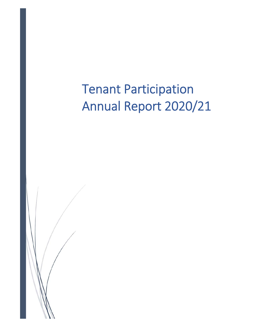Tenant Participation Annual Report 2020/21

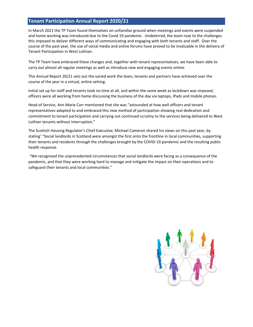# **Tenant Participation Annual Report 2020/21**

In March 2021 the TP Team found themselves on unfamiliar ground when meetings and events were suspended and home working was introduced due to the Covid 19 pandemic. Undeterred, the team rose to the challenges this imposed to deliver different ways of communicating and engaging with both tenants and staff. Over the course of the past year, the use of social media and online forums have proved to be invaluable in the delivery of Tenant Participation in West Lothian.

The TP Team have embraced these changes and, together with tenant representatives, we have been able to carry out almost all regular meetings as well as introduce new and engaging events online.

This Annual Report 20/21 sets out the varied work the team, tenants and partners have achieved over the course of the year in a virtual, online setting.

Initial set up for staff and tenants took no time at all, and within the same week as lockdown was imposed, officers were all working from home discussing the business of the day via laptops, iPads and mobile phones.

Head of Service, Ann Marie Carr mentioned that she was "astounded at how well officers and tenant representatives adapted to and embraced this new method of participation showing real dedication and commitment to tenant participation and carrying out continued scrutiny to the services being delivered to West Lothian tenants without interruption."

The Scottish Housing Regulator's Chief Executive, Michael Cameron shared his views on this past year, by stating' "Social landlords in Scotland were amongst the first onto the frontline in local communities, supporting their tenants and residents through the challenges brought by the COVID‐19 pandemic and the resulting public health response.

 "We recognised the unprecedented circumstances that social landlords were facing as a consequence of the pandemic, and that they were working hard to manage and mitigate the impact on their operations and to safeguard their tenants and local communities."

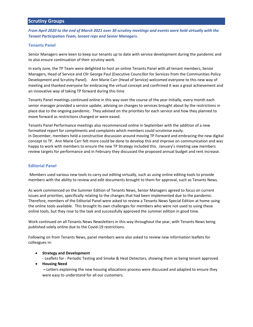*From April 2020 to the end of March 2021 over 30 scrutiny meetings and events were held virtually with the Tenant Participation Team, tenant reps and Senior Managers.* 

# **Tenants Panel**

Senior Managers were keen to keep our tenants up to date with service development during the pandemic and to also ensure continuation of their scrutiny work.

In early June, the TP Team were delighted to host an online Tenants Panel with all tenant members, Senior Managers, Head of Service and Cllr George Paul (Executive Councillor for Services from the Communities Policy Development and Scrutiny Panel). Ann Marie Carr (Head of Service) welcomed everyone to this new way of meeting and thanked everyone for embracing the virtual concept and confirmed it was a great achievement and an innovative way of taking TP forward during this time

Tenants Panel meetings continued online in this way over the course of the year Initially, every month each senior manager provided a service update, advising on changes to services brought about by the restrictions in place due to the ongoing pandemic. They advised on the priorities for each service and how they planned to move forward as restrictions changed or were eased.

Tenants Panel Performance meetings also recommenced online in September with the addition of a new formatted report for compliments and complaints which members could scrutinise easily. In December, members held a constructive discussion around moving TP Forward and embracing the new digital concept to TP. Ann Marie Carr felt more could be done to develop this and improve on communication and was happy to work with members to ensure the new TP Strategy included this. January's meeting saw members review targets for performance and in February they discussed the proposed annual budget and rent increase.

# **Editorial Panel**

Members used various new tools to carry out editing virtually, such as using online editing tools to provide members with the ability to review and edit documents brought to them for approval, such as Tenants News.

As work commenced on the Summer Edition of Tenants News, Senior Managers agreed to focus on current issues and priorities, specifically relating to the changes that had been implemented due to the pandemic. Therefore, members of the Editorial Panel were asked to review a Tenants News Special Edition at home using the online tools available. This brought its own challenges for members who were not used to using these online tools, but they rose to the task and successfully approved the summer edition in good time.

Work continued on all Tenants News Newsletters in this way throughout the year, with Tenants News being published solely online due to the Covid‐19 restrictions.

Following on from Tenants News, panel members were also asked to review new information leaflets for colleagues in:

- **•** Strategy and Development
- ‐ Leaflets for ‐ Periodic Testing and Smoke & Heat Detectors, showing them as being tenant approved **Housing Need** 
	- Letters explaining the new housing allocations process were discussed and adapted to ensure they were easy to understand for all our customers.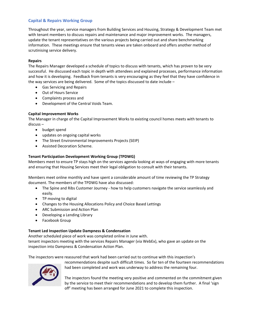# **Capital & Repairs Working Group**

Throughout the year, service managers from Building Services and Housing, Strategy & Development Team met with tenant members to discuss repairs and maintenance and major improvement works. The managers, update the tenant representatives on the various projects being carried out and share benchmarking information. These meetings ensure that tenants views are taken onboard and offers another method of scrutinising service delivery.

## **Repairs**

The Repairs Manager developed a schedule of topics to discuss with tenants, which has proven to be very successful. He discussed each topic in depth with attendees and explained processes, performance information and how it is developing. Feedback from tenants is very encouraging as they feel that they have confidence in the way services are being delivered. Some of the topics discussed to date include –

- Gas Servicing and Repairs
- Out of Hours Service
- Complaints process and
- Development of the Central Voids Team.

# **Capital Improvement Works**

The Manager in charge of the Capital Improvement Works to existing council homes meets with tenants to discuss –

- budget spend
- updates on ongoing capital works
- The Street Environmental Improvements Projects (SEIP)
- Assisted Decoration Scheme.

# **Tenant Participation Development Working Group (TPDWG)**

Members meet to ensure TP stays high on the services agenda looking at ways of engaging with more tenants and ensuring that Housing Services meet their legal obligation to consult with their tenants.

Members meet online monthly and have spent a considerable amount of time reviewing the TP Strategy document. The members of the TPDWG have also discussed:

- The Spine and Ribs Customer Journey ‐ how to help customers navigate the service seamlessly and easily.
- TP moving to digital
- Changes to the Housing Allocations Policy and Choice Based Lettings
- ARC Submission and Action Plan
- Developing a Lending Library
- Facebook Group

## **Tenant Led Inspection Update Dampness & Condensation**

Another scheduled piece of work was completed online in June with. tenant inspectors meeting with the services Repairs Manager (via WebEx), who gave an update on the inspection into Dampness & Condensation Action Plan.

The inspectors were reassured that work had been carried out to continue with this inspection's



recommendations despite such difficult times. So far ten of the fourteen recommendations had been completed and work was underway to address the remaining four.

The inspectors found the meeting very positive and commented on the commitment given by the service to meet their recommendations and to develop them further. A final 'sign off' meeting has been arranged for June 2021 to complete this inspection.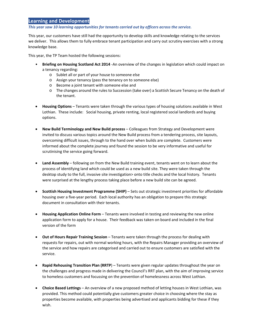# Learning and Development

*This year saw 10 learning opportunities for tenants carried out by officers across the service.* 

This year, our customers have still had the opportunity to develop skills and knowledge relating to the services we deliver. This allows them to fully embrace tenant participation and carry out scrutiny exercises with a strong knowledge base.

This year, the TP Team hosted the following sessions:

- **Briefing on Housing Scotland Act 2014** ‐An overview of the changes in legislation which could impact on a tenancy regarding:
	- o Sublet all or part of your house to someone else
	- o Assign your tenancy (pass the tenancy on to someone else)
	- o Become a joint tenant with someone else and
	- o The changes around the rules to Succession (take over) a Scottish Secure Tenancy on the death of the tenant.
- **Housing Options** Tenants were taken through the various types of housing solutions available in West Lothian. These include: Social housing, private renting, local registered social landlords and buying options.
- **New Build Terminology and New Build process** Colleagues from Strategy and Development were invited to discuss various topics around the New Build process from a tendering process, site layouts, overcoming difficult issues, through to the hand over when builds are complete. Customers were informed about the complete journey and found the session to be very informative and useful for scrutinising the service going forward.
- **Land Assembly** following on from the New Build training event, tenants went on to learn about the process of identifying land which could be used as a new build site. They were taken through the desktop study to the full, invasive site investigation> onto title checks and the local history. Tenants were surprised at the lengthy process taking place before a new build site can be agreed.
- **Scottish Housing Investment Programme (SHIP)** Sets out strategic investment priorities for affordable housing over a five‐year period. Each local authority has an obligation to prepare this strategic document in consultation with their tenants.
- **Housing Application Online Form** Tenants were involved in testing and reviewing the new online application form to apply for a house. Their feedback was taken on board and included in the final version of the form
- **Out of Hours Repair Training Session**  Tenants were taken through the process for dealing with requests for repairs, out with normal working hours, with the Repairs Manager providing an overview of the service and how repairs are categorised and carried out to ensure customers are satisfied with the service.
- **Rapid Rehousing Transition Plan (RRTP**) Tenants were given regular updates throughout the year on the challenges and progress made in delivering the Council's RRT plan, with the aim of improving service to homeless customers and focussing on the prevention of homelessness across West Lothian.
- **Choice Based Lettings** An overview of a new proposed method of letting houses in West Lothian, was provided. This method could potentially give customers greater choice in choosing where the stay as properties become available, with properties being advertised and applicants bidding for these if they wish.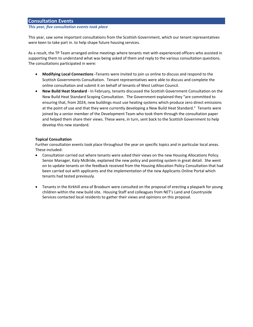# **Consultation Events**

### *This year, five consultation events took place*

This year, saw some important consultations from the Scottish Government, which our tenant representatives were keen to take part in. to help shape future housing services.

As a result, the TP Team arranged online meetings where tenants met with experienced officers who assisted in supporting them to understand what was being asked of them and reply to the various consultation questions. The consultations participated in were:

- **Modifying Local Connections ‐**Tenants were invited to join us online to discuss and respond to the Scottish Governments Consultation. Tenant representatives were able to discuss and complete the online consultation and submit it on behalf of tenants of West Lothian Council.
- **New Build Heat Standard** ‐ In February, tenants discussed the Scottish Government Consultation on the New Build Heat Standard Scoping Consultation. The Government explained they "are committed to ensuring that, from 2024, new buildings must use heating systems which produce zero direct emissions at the point of use and that they were currently developing a New Build Heat Standard." Tenants were joined by a senior member of the Development Team who took them through the consultation paper and helped them share their views. These were, in turn, sent back to the Scottish Government to help develop this new standard.

## **Topical Consultation**

Further consultation events took place throughout the year on specific topics and in particular local areas. These included:

- Consultation carried out where tenants were asked their views on the new Housing Allocations Policy. Senior Manager, Katy McBride, explained the new policy and pointing system in great detail. She went on to update tenants on the feedback received from the Housing Allocation Policy Consultation that had been carried out with applicants and the implementation of the new Applicants Online Portal which tenants had tested previously.
- Tenants in the Kirkhill area of Broxburn were consulted on the proposal of erecting a playpark for young children within the new build site. Housing Staff and colleagues from NET's Land and Countryside Services contacted local residents to gather their views and opinions on this proposal.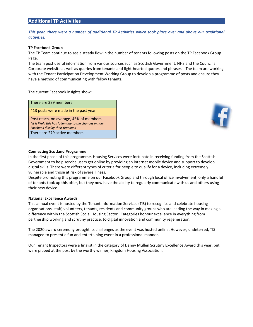# **Additional TP Activities**

*This year, there were a number of additional TP Activities which took place over and above our traditional activities.* 

#### **TP Facebook Group**

The TP Team continue to see a steady flow in the number of tenants following posts on the TP Facebook Group Page.

The team post useful information from various sources such as Scottish Government, NHS and the Council's Corporate website as well as queries from tenants and light‐hearted quotes and phrases. The team are working with the Tenant Participation Development Working Group to develop a programme of posts and ensure they have a method of communicating with fellow tenants.

The current Facebook insights show:

| There are 339 members                                                                             |
|---------------------------------------------------------------------------------------------------|
| 413 posts were made in the past year                                                              |
| Post reach, on average, 45% of members<br>*it is likely this has fallen due to the changes in how |
| <b>Facebook display their timelines</b>                                                           |



#### **Connecting Scotland Programme**

There are 279 active members

In the first phase of this programme, Housing Services were fortunate in receiving funding from the Scottish Government to help service users get online by providing an internet mobile device and support to develop digital skills. There were different types of criteria for people to qualify for a device, including extremely vulnerable and those at risk of severe illness.

Despite promoting this programme on our Facebook Group and through local office involvement, only a handful of tenants took up this offer, but they now have the ability to regularly communicate with us and others using their new device.

#### **National Excellence Awards**

This annual event is hosted by the Tenant Information Services (TIS) to recognise and celebrate housing organisations, staff, volunteers, tenants, residents and community groups who are leading the way in making a difference within the Scottish Social Housing Sector. Categories honour excellence in everything from partnership working and scrutiny practice, to digital innovation and community regeneration.

The 2020 award ceremony brought its challenges as the event was hosted online. However, undeterred, TIS managed to present a fun and entertaining event in a professional manner.

Our Tenant Inspectors were a finalist in the category of Danny Mullen Scrutiny Excellence Award this year, but were pipped at the post by the worthy winner, Kingdom Housing Association.